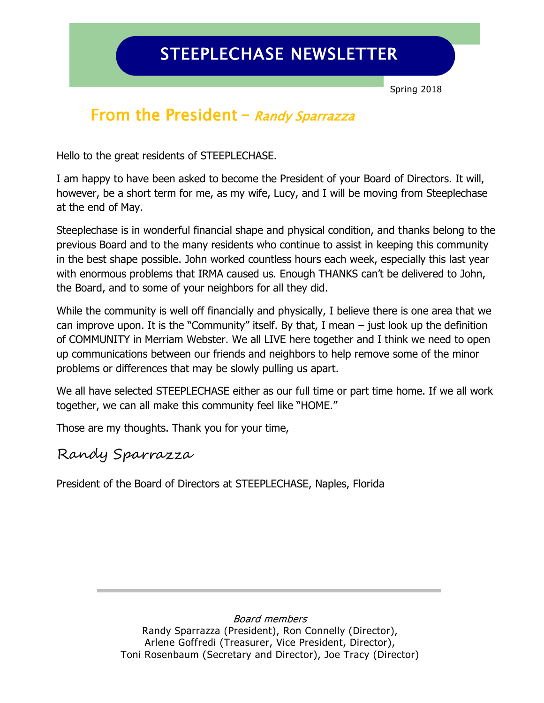# STEEPLECHASE NEWSLETTER

Spring 2018

## From the President **–** Randy Sparrazza

Hello to the great residents of STEEPLECHASE.

I am happy to have been asked to become the President of your Board of Directors. It will, however, be a short term for me, as my wife, Lucy, and I will be moving from Steeplechase at the end of May.

Steeplechase is in wonderful financial shape and physical condition, and thanks belong to the previous Board and to the many residents who continue to assist in keeping this community in the best shape possible. John worked countless hours each week, especially this last year with enormous problems that IRMA caused us. Enough THANKS can't be delivered to John, the Board, and to some of your neighbors for all they did.

While the community is well off financially and physically, I believe there is one area that we can improve upon. It is the "Community" itself. By that, I mean  $-$  just look up the definition of COMMUNITY in Merriam Webster. We all LIVE here together and I think we need to open up communications between our friends and neighbors to help remove some of the minor problems or differences that may be slowly pulling us apart.

We all have selected STEEPLECHASE either as our full time or part time home. If we all work together, we can all make this community feel like "HOME."

Those are my thoughts. Thank you for your time,

### Randy Sparrazza

President of the Board of Directors at STEEPLECHASE, Naples, Florida

Board members Randy Sparrazza (President), Ron Connelly (Director), Arlene Goffredi (Treasurer, Vice President, Director), Toni Rosenbaum (Secretary and Director), Joe Tracy (Director)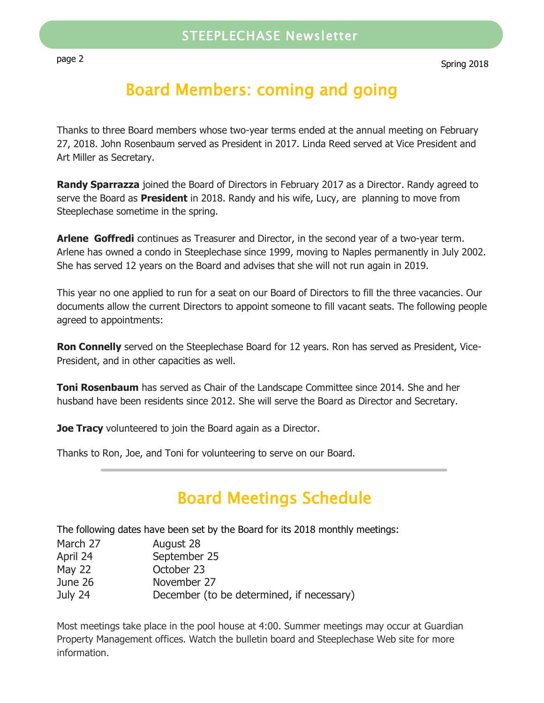# Board Members: coming and going

Thanks to three Board members whose two-year terms ended at the annual meeting on February 27, 2018. John Rosenbaum served as President in 2017. Linda Reed served at Vice President and Art Miller as Secretary.

**Randy Sparrazza** joined the Board of Directors in February 2017 as a Director. Randy agreed to serve the Board as **President** in 2018. Randy and his wife, Lucy, are planning to move from Steeplechase sometime in the spring.

**Arlene Goffredi** continues as Treasurer and Director, in the second year of a two-year term. Arlene has owned a condo in Steeplechase since 1999, moving to Naples permanently in July 2002. She has served 12 years on the Board and advises that she will not run again in 2019.

This year no one applied to run for a seat on our Board of Directors to fill the three vacancies. Our documents allow the current Directors to appoint someone to fill vacant seats. The following people agreed to appointments:

**Ron Connelly** served on the Steeplechase Board for 12 years. Ron has served as President, Vice-President, and in other capacities as well.

**Toni Rosenbaum** has served as Chair of the Landscape Committee since 2014. She and her husband have been residents since 2012. She will serve the Board as Director and Secretary.

**Joe Tracy** volunteered to join the Board again as a Director.

Thanks to Ron, Joe, and Toni for volunteering to serve on our Board.

# Board Meetings Schedule

The following dates have been set by the Board for its 2018 monthly meetings:

| April 24 | September 25 |
|----------|--------------|
| May 22   | October 23   |
| June 26  | November 27  |

July 24 December (to be determined, if necessary)

Most meetings take place in the pool house at 4:00. Summer meetings may occur at Guardian Property Management offices. Watch the bulletin board and Steeplechase Web site for more information.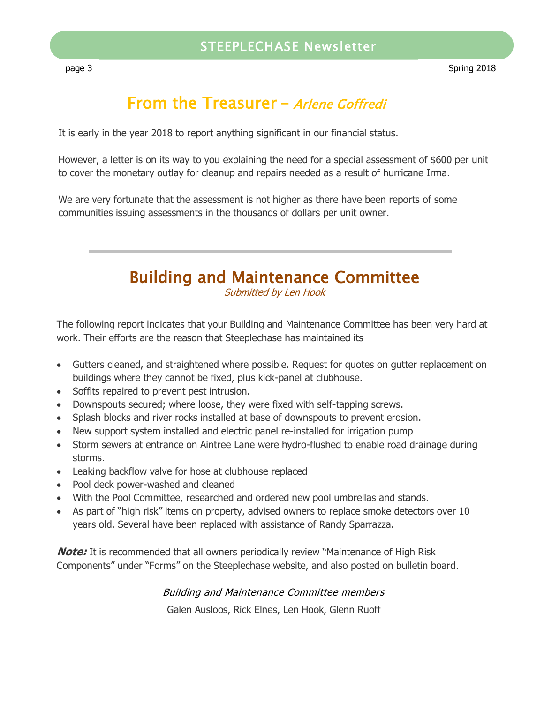## From the Treasurer - Arlene Goffredi

It is early in the year 2018 to report anything significant in our financial status.

However, a letter is on its way to you explaining the need for a special assessment of \$600 per unit to cover the monetary outlay for cleanup and repairs needed as a result of hurricane Irma.

We are very fortunate that the assessment is not higher as there have been reports of some communities issuing assessments in the thousands of dollars per unit owner.

# Building and Maintenance Committee

Submitted by Len Hook

The following report indicates that your Building and Maintenance Committee has been very hard at work. Their efforts are the reason that Steeplechase has maintained its

- Gutters cleaned, and straightened where possible. Request for quotes on gutter replacement on buildings where they cannot be fixed, plus kick-panel at clubhouse.
- Soffits repaired to prevent pest intrusion.
- Downspouts secured; where loose, they were fixed with self-tapping screws.
- Splash blocks and river rocks installed at base of downspouts to prevent erosion.
- New support system installed and electric panel re-installed for irrigation pump
- Storm sewers at entrance on Aintree Lane were hydro-flushed to enable road drainage during storms.
- Leaking backflow valve for hose at clubhouse replaced
- Pool deck power-washed and cleaned
- With the Pool Committee, researched and ordered new pool umbrellas and stands.
- As part of "high risk" items on property, advised owners to replace smoke detectors over 10 years old. Several have been replaced with assistance of Randy Sparrazza.

**Note:** It is recommended that all owners periodically review "Maintenance of High Risk Components" under "Forms" on the Steeplechase website, and also posted on bulletin board.

#### Building and Maintenance Committee members

Galen Ausloos, Rick Elnes, Len Hook, Glenn Ruoff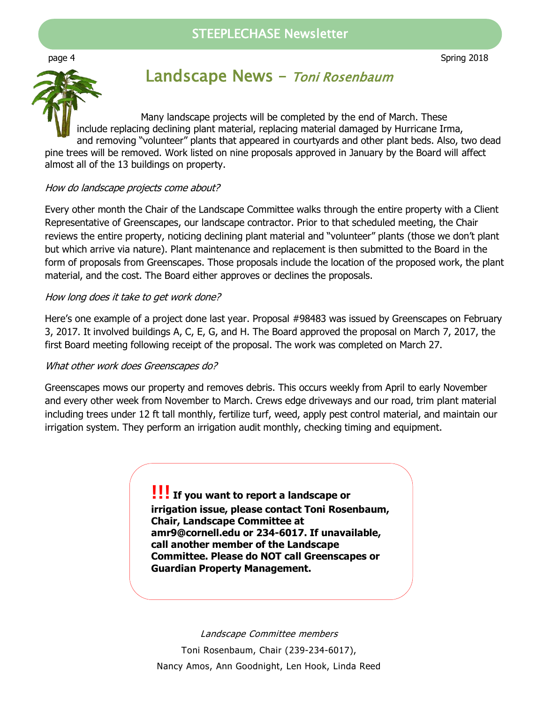### STEEPLECHASE Newsletter



### Landscape News – Toni Rosenbaum

Many landscape projects will be completed by the end of March. These include replacing declining plant material, replacing material damaged by Hurricane Irma, and removing "volunteer" plants that appeared in courtyards and other plant beds. Also, two dead pine trees will be removed. Work listed on nine proposals approved in January by the Board will affect almost all of the 13 buildings on property.

#### How do landscape projects come about?

Every other month the Chair of the Landscape Committee walks through the entire property with a Client Representative of Greenscapes, our landscape contractor. Prior to that scheduled meeting, the Chair reviews the entire property, noticing declining plant material and "volunteer" plants (those we don't plant but which arrive via nature). Plant maintenance and replacement is then submitted to the Board in the form of proposals from Greenscapes. Those proposals include the location of the proposed work, the plant material, and the cost. The Board either approves or declines the proposals.

#### How long does it take to get work done?

Here's one example of a project done last year. Proposal #98483 was issued by Greenscapes on February 3, 2017. It involved buildings A, C, E, G, and H. The Board approved the proposal on March 7, 2017, the first Board meeting following receipt of the proposal. The work was completed on March 27.

#### What other work does Greenscapes do?

Greenscapes mows our property and removes debris. This occurs weekly from April to early November and every other week from November to March. Crews edge driveways and our road, trim plant material including trees under 12 ft tall monthly, fertilize turf, weed, apply pest control material, and maintain our irrigation system. They perform an irrigation audit monthly, checking timing and equipment.

> **!!! If you want to report a landscape or irrigation issue, please contact Toni Rosenbaum, Chair, Landscape Committee at amr9@cornell.edu or 234-6017. If unavailable, call another member of the Landscape Committee. Please do NOT call Greenscapes or Guardian Property Management.**

Landscape Committee members Toni Rosenbaum, Chair (239-234-6017), Nancy Amos, Ann Goodnight, Len Hook, Linda Reed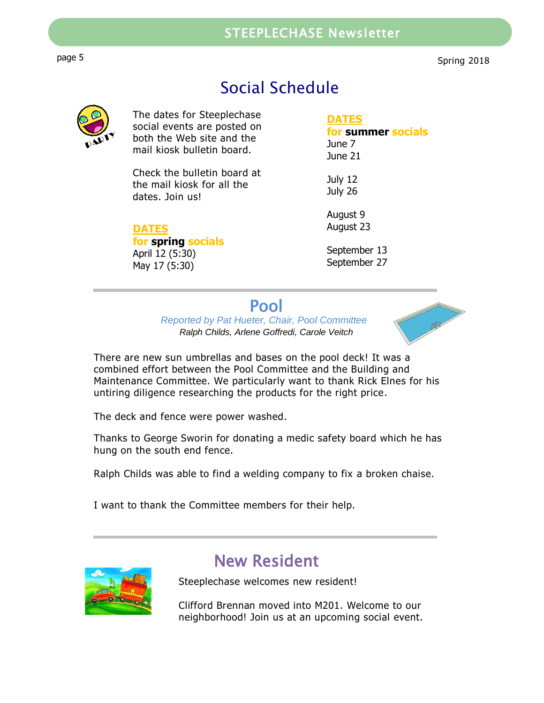### STEEPLECHASE Newsletter

page 5 Steeplechase Newsletter and the second service of the second service of the service of the service of the service of the service of the service of the service of the service of the service of the service of the serv

Spring 2018

## Social Schedule



The dates for Steeplechase social events are posted on both the Web site and the mail kiosk bulletin board.

Check the bulletin board at the mail kiosk for all the dates. Join us!

#### **DATES**

**for spring socials** April 12 (5:30) May 17 (5:30)

#### **DATES**

#### **for summer socials** June 7 June 21

July 12 July 26

August 9 August 23

September 13 September 27

### Pool

*Reported by Pat Hueter, Chair, Pool Committee Ralph Childs, Arlene Goffredi, Carole Veitch*



There are new sun umbrellas and bases on the pool deck! It was a combined effort between the Pool Committee and the Building and Maintenance Committee. We particularly want to thank Rick Elnes for his untiring diligence researching the products for the right price.

The deck and fence were power washed.

Thanks to George Sworin for donating a medic safety board which he has hung on the south end fence.

Ralph Childs was able to find a welding company to fix a broken chaise.

I want to thank the Committee members for their help.



## New Resident

Steeplechase welcomes new resident!

Clifford Brennan moved into M201. Welcome to our neighborhood! Join us at an upcoming social event.